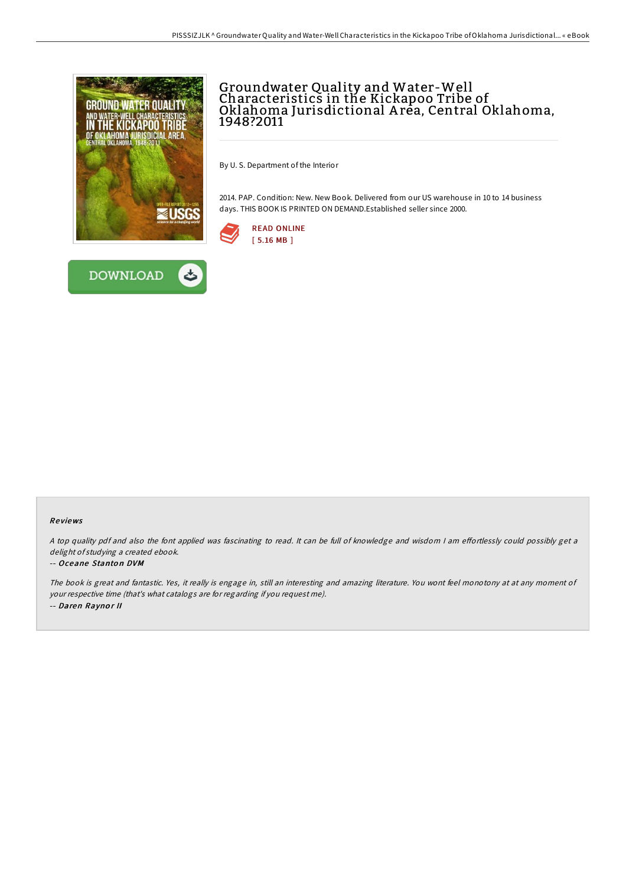

# Groundwater Quality and Water-Well Characteristics in the Kickapoo Tribe of Oklahoma Jurisdictional A rea, Central Oklahoma, 1948?2011

By U. S. Department of the Interior

2014. PAP. Condition: New. New Book. Delivered from our US warehouse in 10 to 14 business days. THIS BOOK IS PRINTED ON DEMAND.Established seller since 2000.





**DOWNLOAD** 

#### Re views

A top quality pdf and also the font applied was fascinating to read. It can be full of knowledge and wisdom I am effortlessly could possibly get a delight of studying <sup>a</sup> created ebook.

#### -- Oceane Stanton DVM

The book is great and fantastic. Yes, it really is engage in, still an interesting and amazing literature. You wont feel monotony at at any moment of your respective time (that's what catalogs are for regarding if you request me). -- Daren Raynor II